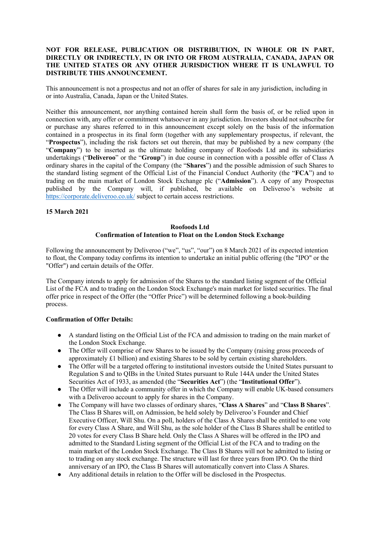# **NOT FOR RELEASE, PUBLICATION OR DISTRIBUTION, IN WHOLE OR IN PART, DIRECTLY OR INDIRECTLY, IN OR INTO OR FROM AUSTRALIA, CANADA, JAPAN OR THE UNITED STATES OR ANY OTHER JURISDICTION WHERE IT IS UNLAWFUL TO DISTRIBUTE THIS ANNOUNCEMENT.**

This announcement is not a prospectus and not an offer of shares for sale in any jurisdiction, including in or into Australia, Canada, Japan or the United States.

Neither this announcement, nor anything contained herein shall form the basis of, or be relied upon in connection with, any offer or commitment whatsoever in any jurisdiction. Investors should not subscribe for or purchase any shares referred to in this announcement except solely on the basis of the information contained in a prospectus in its final form (together with any supplementary prospectus, if relevant, the "**Prospectus**"), including the risk factors set out therein, that may be published by a new company (the "**Company**") to be inserted as the ultimate holding company of Roofoods Ltd and its subsidiaries undertakings ("**Deliveroo**" or the "**Group**") in due course in connection with a possible offer of Class A ordinary shares in the capital of the Company (the "**Shares**") and the possible admission of such Shares to the standard listing segment of the Official List of the Financial Conduct Authority (the "**FCA**") and to trading on the main market of London Stock Exchange plc ("**Admission**"). A copy of any Prospectus published by the Company will, if published, be available on Deliveroo's website at <https://corporate.deliveroo.co.uk/> subject to certain access restrictions.

## **15 March 2021**

### **Roofoods Ltd Confirmation of Intention to Float on the London Stock Exchange**

Following the announcement by Deliveroo ("we", "us", "our") on 8 March 2021 of its expected intention to float, the Company today confirms its intention to undertake an initial public offering (the "IPO" or the "Offer") and certain details of the Offer.

The Company intends to apply for admission of the Shares to the standard listing segment of the Official List of the FCA and to trading on the London Stock Exchange's main market for listed securities. The final offer price in respect of the Offer (the "Offer Price") will be determined following a book-building process.

### **Confirmation of Offer Details:**

- A standard listing on the Official List of the FCA and admission to trading on the main market of the London Stock Exchange.
- The Offer will comprise of new Shares to be issued by the Company (raising gross proceeds of approximately £1 billion) and existing Shares to be sold by certain existing shareholders.
- The Offer will be a targeted offering to institutional investors outside the United States pursuant to Regulation S and to QIBs in the United States pursuant to Rule 144A under the United States Securities Act of 1933, as amended (the "**Securities Act**") (the "**Institutional Offer**").
- The Offer will include a community offer in which the Company will enable UK-based consumers with a Deliveroo account to apply for shares in the Company.
- The Company will have two classes of ordinary shares, "**Class A Shares**" and "**Class B Shares**". The Class B Shares will, on Admission, be held solely by Deliveroo's Founder and Chief Executive Officer, Will Shu. On a poll, holders of the Class A Shares shall be entitled to one vote for every Class A Share, and Will Shu, as the sole holder of the Class B Shares shall be entitled to 20 votes for every Class B Share held. Only the Class A Shares will be offered in the IPO and admitted to the Standard Listing segment of the Official List of the FCA and to trading on the main market of the London Stock Exchange. The Class B Shares will not be admitted to listing or to trading on any stock exchange. The structure will last for three years from IPO. On the third anniversary of an IPO, the Class B Shares will automatically convert into Class A Shares.
- Any additional details in relation to the Offer will be disclosed in the Prospectus.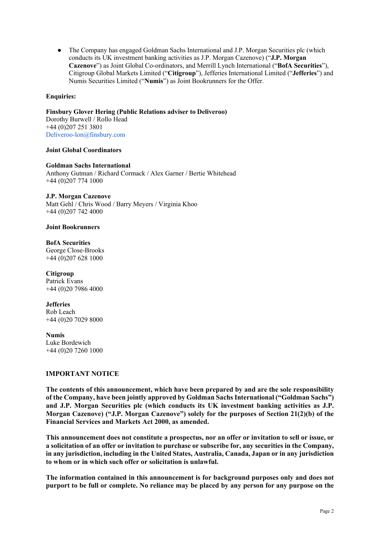● The Company has engaged Goldman Sachs International and J.P. Morgan Securities plc (which conducts its UK investment banking activities as J.P. Morgan Cazenove) ("**J.P. Morgan Cazenove**") as Joint Global Co-ordinators, and Merrill Lynch International ("**BofA Securities**"), Citigroup Global Markets Limited ("**Citigroup**"), Jefferies International Limited ("**Jefferies**") and Numis Securities Limited ("**Numis**") as Joint Bookrunners for the Offer.

## **Enquiries:**

**Finsbury Glover Hering (Public Relations adviser to Deliveroo)** Dorothy Burwell / Rollo Head +44 (0)207 251 3801 Deliveroo-lon@finsbury.com

### **Joint Global Coordinators**

## **Goldman Sachs International**

Anthony Gutman / Richard Cormack / Alex Garner / Bertie Whitehead +44 (0)207 774 1000

## **J.P. Morgan Cazenove**

Matt Gehl / Chris Wood / Barry Meyers / Virginia Khoo +44 (0)207 742 4000

### **Joint Bookrunners**

### **BofA Securities**

George Close-Brooks +44 (0)207 628 1000

### **Citigroup**

Patrick Evans +44 (0)20 7986 4000

### **Jefferies**

Rob Leach +44 (0)20 7029 8000

### **Numis**

Luke Bordewich +44 (0)20 7260 1000

# **IMPORTANT NOTICE**

**The contents of this announcement, which have been prepared by and are the sole responsibility of the Company, have been jointly approved by Goldman Sachs International ("Goldman Sachs") and J.P. Morgan Securities plc (which conducts its UK investment banking activities as J.P. Morgan Cazenove) ("J.P. Morgan Cazenove") solely for the purposes of Section 21(2)(b) of the Financial Services and Markets Act 2000, as amended.**

**This announcement does not constitute a prospectus, nor an offer or invitation to sell or issue, or a solicitation of an offer or invitation to purchase or subscribe for, any securities in the Company, in any jurisdiction, including in the United States, Australia, Canada, Japan or in any jurisdiction to whom or in which such offer or solicitation is unlawful.**

**The information contained in this announcement is for background purposes only and does not purport to be full or complete. No reliance may be placed by any person for any purpose on the**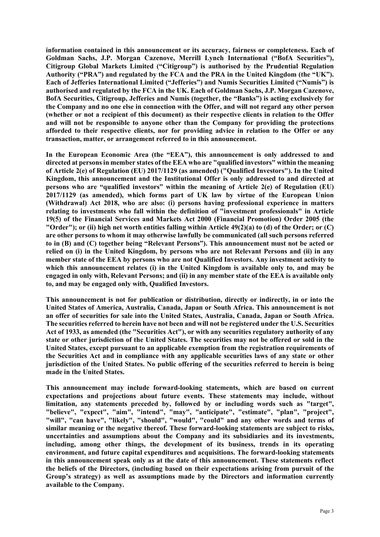**information contained in this announcement or its accuracy, fairness or completeness. Each of Goldman Sachs, J.P. Morgan Cazenove, Merrill Lynch International ("BofA Securities"), Citigroup Global Markets Limited ("Citigroup") is authorised by the Prudential Regulation Authority ("PRA") and regulated by the FCA and the PRA in the United Kingdom (the "UK"). Each of Jefferies International Limited ("Jefferies") and Numis Securities Limited ("Numis") is authorised and regulated by the FCA in the UK. Each of Goldman Sachs, J.P. Morgan Cazenove, BofA Securities, Citigroup, Jefferies and Numis (together, the "Banks") is acting exclusively for the Company and no one else in connection with the Offer, and will not regard any other person (whether or not a recipient of this document) as their respective clients in relation to the Offer and will not be responsible to anyone other than the Company for providing the protections afforded to their respective clients, nor for providing advice in relation to the Offer or any transaction, matter, or arrangement referred to in this announcement.**

**In the European Economic Area (the "EEA"), this announcement is only addressed to and directed at persons in member states of the EEA who are "qualified investors" within the meaning of Article 2(e) of Regulation (EU) 2017/1129 (as amended) ("Qualified Investors"). In the United Kingdom, this announcement and the Institutional Offer is only addressed to and directed at persons who are "qualified investors" within the meaning of Article 2(e) of Regulation (EU) 2017/1129 (as amended), which forms part of UK law by virtue of the European Union (Withdrawal) Act 2018, who are also: (i) persons having professional experience in matters relating to investments who fall within the definition of "investment professionals" in Article 19(5) of the Financial Services and Markets Act 2000 (Financial Promotion) Order 2005 (the "Order"); or (ii) high net worth entities falling within Article 49(2)(a) to (d) of the Order; or (C) are other persons to whom it may otherwise lawfully be communicated (all such persons referred to in (B) and (C) together being "Relevant Persons"). This announcement must not be acted or relied on (i) in the United Kingdom, by persons who are not Relevant Persons and (ii) in any member state of the EEA by persons who are not Qualified Investors. Any investment activity to which this announcement relates (i) in the United Kingdom is available only to, and may be engaged in only with, Relevant Persons; and (ii) in any member state of the EEA is available only to, and may be engaged only with, Qualified Investors.**

**This announcement is not for publication or distribution, directly or indirectly, in or into the United States of America, Australia, Canada, Japan or South Africa. This announcement is not an offer of securities for sale into the United States, Australia, Canada, Japan or South Africa. The securities referred to herein have not been and will not be registered under the U.S. Securities Act of 1933, as amended (the "Securities Act"), or with any securities regulatory authority of any state or other jurisdiction of the United States. The securities may not be offered or sold in the United States, except pursuant to an applicable exemption from the registration requirements of the Securities Act and in compliance with any applicable securities laws of any state or other jurisdiction of the United States. No public offering of the securities referred to herein is being made in the United States.**

**This announcement may include forward-looking statements, which are based on current expectations and projections about future events. These statements may include, without limitation, any statements preceded by, followed by or including words such as "target", "believe", "expect", "aim", "intend", "may", "anticipate", "estimate", "plan", "project", "will", "can have", "likely", "should", "would", "could" and any other words and terms of similar meaning or the negative thereof. These forward-looking statements are subject to risks, uncertainties and assumptions about the Company and its subsidiaries and its investments, including, among other things, the development of its business, trends in its operating environment, and future capital expenditures and acquisitions. The forward-looking statements in this announcement speak only as at the date of this announcement. These statements reflect the beliefs of the Directors, (including based on their expectations arising from pursuit of the Group's strategy) as well as assumptions made by the Directors and information currently available to the Company.**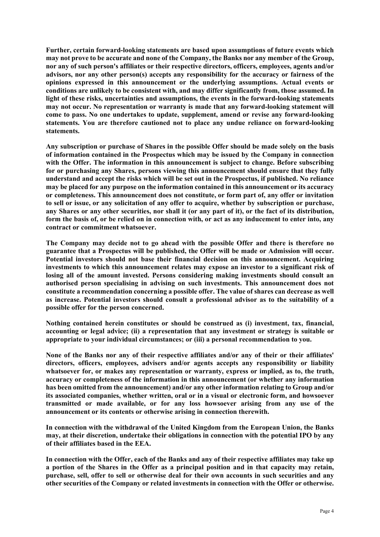**Further, certain forward-looking statements are based upon assumptions of future events which may not prove to be accurate and none of the Company, the Banks nor any member of the Group, nor any of such person's affiliates or their respective directors, officers, employees, agents and/or advisors, nor any other person(s) accepts any responsibility for the accuracy or fairness of the opinions expressed in this announcement or the underlying assumptions. Actual events or conditions are unlikely to be consistent with, and may differ significantly from, those assumed. In light of these risks, uncertainties and assumptions, the events in the forward-looking statements may not occur. No representation or warranty is made that any forward-looking statement will come to pass. No one undertakes to update, supplement, amend or revise any forward-looking statements. You are therefore cautioned not to place any undue reliance on forward-looking statements.**

**Any subscription or purchase of Shares in the possible Offer should be made solely on the basis of information contained in the Prospectus which may be issued by the Company in connection with the Offer. The information in this announcement is subject to change. Before subscribing for or purchasing any Shares, persons viewing this announcement should ensure that they fully understand and accept the risks which will be set out in the Prospectus, if published. No reliance may be placed for any purpose on the information contained in this announcement or its accuracy or completeness. This announcement does not constitute, or form part of, any offer or invitation to sell or issue, or any solicitation of any offer to acquire, whether by subscription or purchase, any Shares or any other securities, nor shall it (or any part of it), or the fact of its distribution, form the basis of, or be relied on in connection with, or act as any inducement to enter into, any contract or commitment whatsoever.**

**The Company may decide not to go ahead with the possible Offer and there is therefore no guarantee that a Prospectus will be published, the Offer will be made or Admission will occur. Potential investors should not base their financial decision on this announcement. Acquiring investments to which this announcement relates may expose an investor to a significant risk of losing all of the amount invested. Persons considering making investments should consult an authorised person specialising in advising on such investments. This announcement does not constitute a recommendation concerning a possible offer. The value of shares can decrease as well as increase. Potential investors should consult a professional advisor as to the suitability of a possible offer for the person concerned.**

**Nothing contained herein constitutes or should be construed as (i) investment, tax, financial, accounting or legal advice; (ii) a representation that any investment or strategy is suitable or appropriate to your individual circumstances; or (iii) a personal recommendation to you.**

**None of the Banks nor any of their respective affiliates and/or any of their or their affiliates' directors, officers, employees, advisers and/or agents accepts any responsibility or liability whatsoever for, or makes any representation or warranty, express or implied, as to, the truth, accuracy or completeness of the information in this announcement (or whether any information has been omitted from the announcement) and/or any other information relating to Group and/or its associated companies, whether written, oral or in a visual or electronic form, and howsoever transmitted or made available, or for any loss howsoever arising from any use of the announcement or its contents or otherwise arising in connection therewith.**

**In connection with the withdrawal of the United Kingdom from the European Union, the Banks may, at their discretion, undertake their obligations in connection with the potential IPO by any of their affiliates based in the EEA.**

**In connection with the Offer, each of the Banks and any of their respective affiliates may take up a portion of the Shares in the Offer as a principal position and in that capacity may retain, purchase, sell, offer to sell or otherwise deal for their own accounts in such securities and any other securities of the Company or related investments in connection with the Offer or otherwise.**